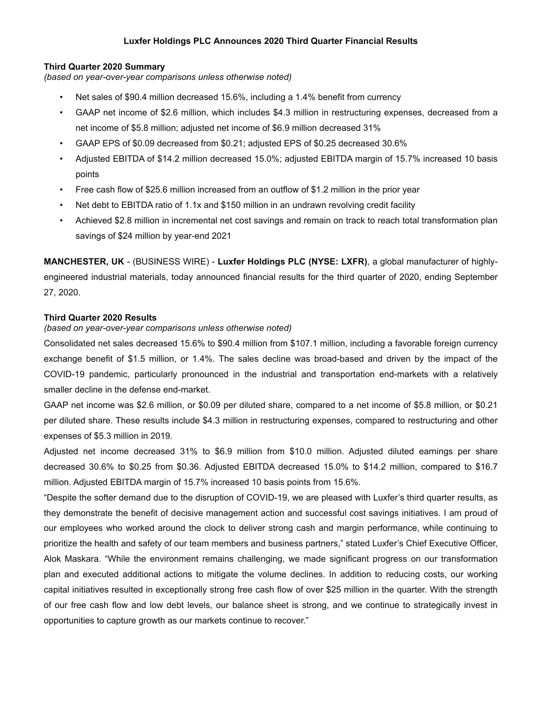## **Luxfer Holdings PLC Announces 2020 Third Quarter Financial Results**

### **Third Quarter 2020 Summary**

*(based on year-over-year comparisons unless otherwise noted)*

- Net sales of \$90.4 million decreased 15.6%, including a 1.4% benefit from currency
- GAAP net income of \$2.6 million, which includes \$4.3 million in restructuring expenses, decreased from a net income of \$5.8 million; adjusted net income of \$6.9 million decreased 31%
- GAAP EPS of \$0.09 decreased from \$0.21; adjusted EPS of \$0.25 decreased 30.6%
- Adjusted EBITDA of \$14.2 million decreased 15.0%; adjusted EBITDA margin of 15.7% increased 10 basis points
- Free cash flow of \$25.6 million increased from an outflow of \$1.2 million in the prior year
- Net debt to EBITDA ratio of 1.1x and \$150 million in an undrawn revolving credit facility
- Achieved \$2.8 million in incremental net cost savings and remain on track to reach total transformation plan savings of \$24 million by year-end 2021

**MANCHESTER, UK** - (BUSINESS WIRE) - **Luxfer Holdings PLC (NYSE: LXFR)**, a global manufacturer of highlyengineered industrial materials, today announced financial results for the third quarter of 2020, ending September 27, 2020.

### **Third Quarter 2020 Results**

## *(based on year-over-year comparisons unless otherwise noted)*

Consolidated net sales decreased 15.6% to \$90.4 million from \$107.1 million, including a favorable foreign currency exchange benefit of \$1.5 million, or 1.4%. The sales decline was broad-based and driven by the impact of the COVID-19 pandemic, particularly pronounced in the industrial and transportation end-markets with a relatively smaller decline in the defense end-market.

GAAP net income was \$2.6 million, or \$0.09 per diluted share, compared to a net income of \$5.8 million, or \$0.21 per diluted share. These results include \$4.3 million in restructuring expenses, compared to restructuring and other expenses of \$5.3 million in 2019.

Adjusted net income decreased 31% to \$6.9 million from \$10.0 million. Adjusted diluted earnings per share decreased 30.6% to \$0.25 from \$0.36. Adjusted EBITDA decreased 15.0% to \$14.2 million, compared to \$16.7 million. Adjusted EBITDA margin of 15.7% increased 10 basis points from 15.6%.

"Despite the softer demand due to the disruption of COVID-19, we are pleased with Luxfer's third quarter results, as they demonstrate the benefit of decisive management action and successful cost savings initiatives. I am proud of our employees who worked around the clock to deliver strong cash and margin performance, while continuing to prioritize the health and safety of our team members and business partners," stated Luxfer's Chief Executive Officer, Alok Maskara. "While the environment remains challenging, we made significant progress on our transformation plan and executed additional actions to mitigate the volume declines. In addition to reducing costs, our working capital initiatives resulted in exceptionally strong free cash flow of over \$25 million in the quarter. With the strength of our free cash flow and low debt levels, our balance sheet is strong, and we continue to strategically invest in opportunities to capture growth as our markets continue to recover."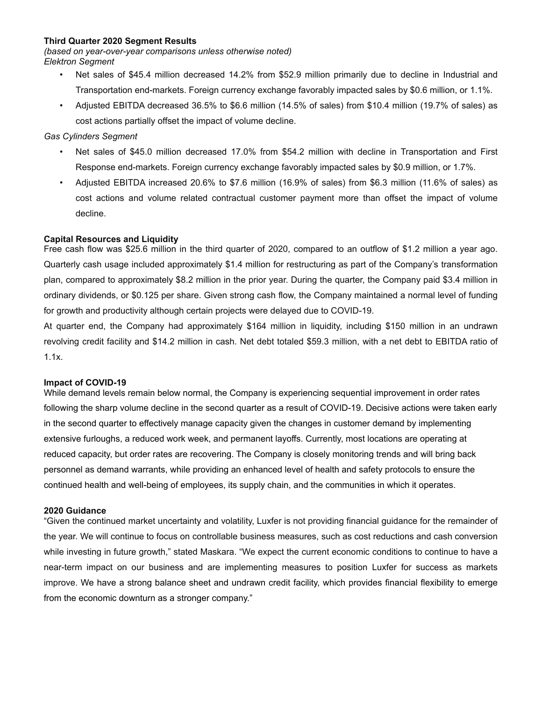### **Third Quarter 2020 Segment Results**

*(based on year-over-year comparisons unless otherwise noted) Elektron Segment*

- Net sales of \$45.4 million decreased 14.2% from \$52.9 million primarily due to decline in Industrial and Transportation end-markets. Foreign currency exchange favorably impacted sales by \$0.6 million, or 1.1%.
- Adjusted EBITDA decreased 36.5% to \$6.6 million (14.5% of sales) from \$10.4 million (19.7% of sales) as cost actions partially offset the impact of volume decline.

## *Gas Cylinders Segment*

- Net sales of \$45.0 million decreased 17.0% from \$54.2 million with decline in Transportation and First Response end-markets. Foreign currency exchange favorably impacted sales by \$0.9 million, or 1.7%.
- Adjusted EBITDA increased 20.6% to \$7.6 million (16.9% of sales) from \$6.3 million (11.6% of sales) as cost actions and volume related contractual customer payment more than offset the impact of volume decline.

## **Capital Resources and Liquidity**

Free cash flow was \$25.6 million in the third quarter of 2020, compared to an outflow of \$1.2 million a year ago. Quarterly cash usage included approximately \$1.4 million for restructuring as part of the Company's transformation plan, compared to approximately \$8.2 million in the prior year. During the quarter, the Company paid \$3.4 million in ordinary dividends, or \$0.125 per share. Given strong cash flow, the Company maintained a normal level of funding for growth and productivity although certain projects were delayed due to COVID-19.

At quarter end, the Company had approximately \$164 million in liquidity, including \$150 million in an undrawn revolving credit facility and \$14.2 million in cash. Net debt totaled \$59.3 million, with a net debt to EBITDA ratio of 1.1x.

## **Impact of COVID-19**

While demand levels remain below normal, the Company is experiencing sequential improvement in order rates following the sharp volume decline in the second quarter as a result of COVID-19. Decisive actions were taken early in the second quarter to effectively manage capacity given the changes in customer demand by implementing extensive furloughs, a reduced work week, and permanent layoffs. Currently, most locations are operating at reduced capacity, but order rates are recovering. The Company is closely monitoring trends and will bring back personnel as demand warrants, while providing an enhanced level of health and safety protocols to ensure the continued health and well-being of employees, its supply chain, and the communities in which it operates.

### **2020 Guidance**

"Given the continued market uncertainty and volatility, Luxfer is not providing financial guidance for the remainder of the year. We will continue to focus on controllable business measures, such as cost reductions and cash conversion while investing in future growth," stated Maskara. "We expect the current economic conditions to continue to have a near-term impact on our business and are implementing measures to position Luxfer for success as markets improve. We have a strong balance sheet and undrawn credit facility, which provides financial flexibility to emerge from the economic downturn as a stronger company."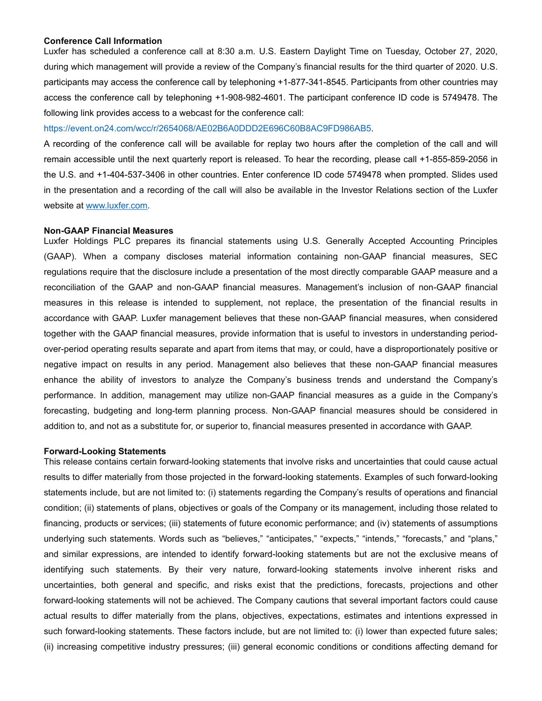### **Conference Call Information**

Luxfer has scheduled a conference call at 8:30 a.m. U.S. Eastern Daylight Time on Tuesday, October 27, 2020, during which management will provide a review of the Company's financial results for the third quarter of 2020. U.S. participants may access the conference call by telephoning +1-877-341-8545. Participants from other countries may access the conference call by telephoning +1-908-982-4601. The participant conference ID code is 5749478. The following link provides access to a webcast for the conference call:

#### https://event.on24.com/wcc/r/2654068/AE02B6A0DDD2E696C60B8AC9FD986AB5.

A recording of the conference call will be available for replay two hours after the completion of the call and will remain accessible until the next quarterly report is released. To hear the recording, please call +1-855-859-2056 in the U.S. and +1-404-537-3406 in other countries. Enter conference ID code 5749478 when prompted. Slides used in the presentation and a recording of the call will also be available in the Investor Relations section of the Luxfer website at www.luxfer.com.

#### **Non-GAAP Financial Measures**

Luxfer Holdings PLC prepares its financial statements using U.S. Generally Accepted Accounting Principles (GAAP). When a company discloses material information containing non-GAAP financial measures, SEC regulations require that the disclosure include a presentation of the most directly comparable GAAP measure and a reconciliation of the GAAP and non-GAAP financial measures. Management's inclusion of non-GAAP financial measures in this release is intended to supplement, not replace, the presentation of the financial results in accordance with GAAP. Luxfer management believes that these non-GAAP financial measures, when considered together with the GAAP financial measures, provide information that is useful to investors in understanding periodover-period operating results separate and apart from items that may, or could, have a disproportionately positive or negative impact on results in any period. Management also believes that these non-GAAP financial measures enhance the ability of investors to analyze the Company's business trends and understand the Company's performance. In addition, management may utilize non-GAAP financial measures as a guide in the Company's forecasting, budgeting and long-term planning process. Non-GAAP financial measures should be considered in addition to, and not as a substitute for, or superior to, financial measures presented in accordance with GAAP.

#### **Forward-Looking Statements**

This release contains certain forward-looking statements that involve risks and uncertainties that could cause actual results to differ materially from those projected in the forward-looking statements. Examples of such forward-looking statements include, but are not limited to: (i) statements regarding the Company's results of operations and financial condition; (ii) statements of plans, objectives or goals of the Company or its management, including those related to financing, products or services; (iii) statements of future economic performance; and (iv) statements of assumptions underlying such statements. Words such as "believes," "anticipates," "expects," "intends," "forecasts," and "plans," and similar expressions, are intended to identify forward-looking statements but are not the exclusive means of identifying such statements. By their very nature, forward-looking statements involve inherent risks and uncertainties, both general and specific, and risks exist that the predictions, forecasts, projections and other forward-looking statements will not be achieved. The Company cautions that several important factors could cause actual results to differ materially from the plans, objectives, expectations, estimates and intentions expressed in such forward-looking statements. These factors include, but are not limited to: (i) lower than expected future sales; (ii) increasing competitive industry pressures; (iii) general economic conditions or conditions affecting demand for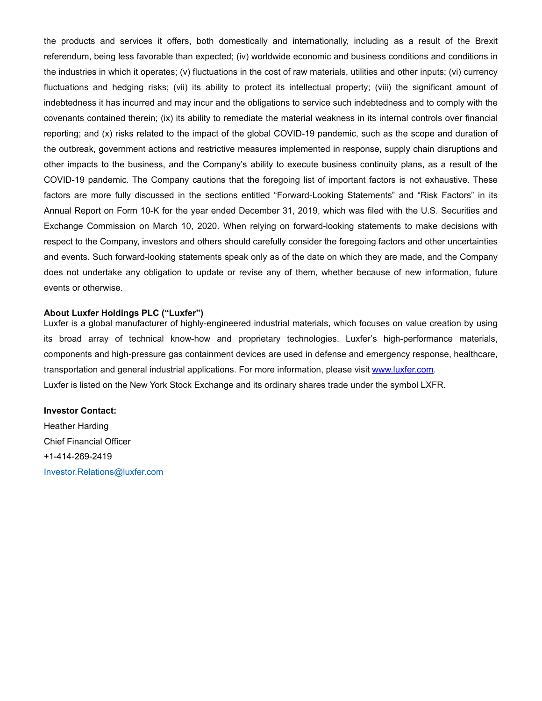the products and services it offers, both domestically and internationally, including as a result of the Brexit referendum, being less favorable than expected; (iv) worldwide economic and business conditions and conditions in the industries in which it operates; (v) fluctuations in the cost of raw materials, utilities and other inputs; (vi) currency fluctuations and hedging risks; (vii) its ability to protect its intellectual property; (viii) the significant amount of indebtedness it has incurred and may incur and the obligations to service such indebtedness and to comply with the covenants contained therein; (ix) its ability to remediate the material weakness in its internal controls over financial reporting; and (x) risks related to the impact of the global COVID-19 pandemic, such as the scope and duration of the outbreak, government actions and restrictive measures implemented in response, supply chain disruptions and other impacts to the business, and the Company's ability to execute business continuity plans, as a result of the COVID-19 pandemic. The Company cautions that the foregoing list of important factors is not exhaustive. These factors are more fully discussed in the sections entitled "Forward-Looking Statements" and "Risk Factors" in its Annual Report on Form 10-K for the year ended December 31, 2019, which was filed with the U.S. Securities and Exchange Commission on March 10, 2020. When relying on forward-looking statements to make decisions with respect to the Company, investors and others should carefully consider the foregoing factors and other uncertainties and events. Such forward-looking statements speak only as of the date on which they are made, and the Company does not undertake any obligation to update or revise any of them, whether because of new information, future events or otherwise.

### **About Luxfer Holdings PLC ("Luxfer")**

Luxfer is a global manufacturer of highly-engineered industrial materials, which focuses on value creation by using its broad array of technical know-how and proprietary technologies. Luxfer's high-performance materials, components and high-pressure gas containment devices are used in defense and emergency response, healthcare, transportation and general industrial applications. For more information, please visit www.luxfer.com. Luxfer is listed on the New York Stock Exchange and its ordinary shares trade under the symbol LXFR.

### **Investor Contact:**

Heather Harding Chief Financial Officer +1-414-269-2419 Investor.Relations@luxfer.com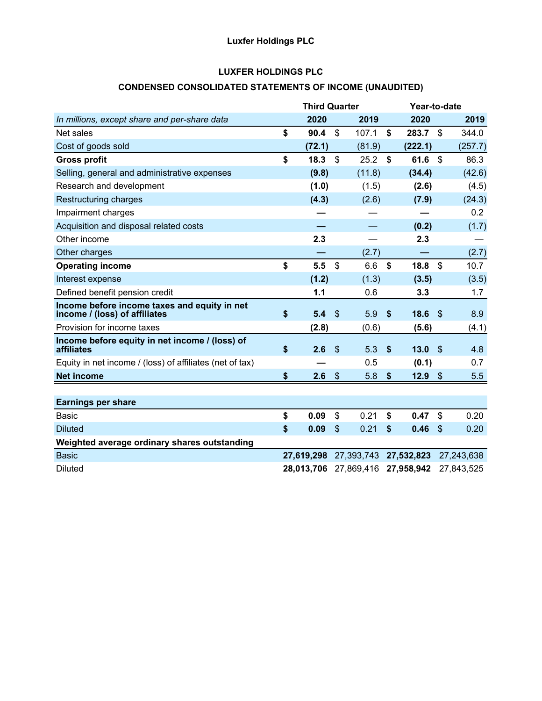# **Luxfer Holdings PLC**

## **LUXFER HOLDINGS PLC**

# **CONDENSED CONSOLIDATED STATEMENTS OF INCOME (UNAUDITED)**

|                                                                               | <b>Third Quarter</b> |                           |            | Year-to-date    |                           |            |  |  |  |
|-------------------------------------------------------------------------------|----------------------|---------------------------|------------|-----------------|---------------------------|------------|--|--|--|
| In millions, except share and per-share data                                  | 2020                 |                           | 2019       | 2020            |                           | 2019       |  |  |  |
| Net sales                                                                     | \$<br>90.4           | $\mathbb{S}$              | 107.1      | \$<br>283.7     | \$                        | 344.0      |  |  |  |
| Cost of goods sold                                                            | (72.1)               |                           | (81.9)     | (222.1)         |                           | (257.7)    |  |  |  |
| <b>Gross profit</b>                                                           | \$<br>18.3           | $\boldsymbol{\mathsf{S}}$ | 25.2       | \$<br>61.6      | $\mathfrak{s}$            | 86.3       |  |  |  |
| Selling, general and administrative expenses                                  | (9.8)                |                           | (11.8)     | (34.4)          |                           | (42.6)     |  |  |  |
| Research and development                                                      | (1.0)                |                           | (1.5)      | (2.6)           |                           | (4.5)      |  |  |  |
| Restructuring charges                                                         | (4.3)                |                           | (2.6)      | (7.9)           |                           | (24.3)     |  |  |  |
| Impairment charges                                                            |                      |                           |            |                 |                           | 0.2        |  |  |  |
| Acquisition and disposal related costs                                        |                      |                           |            | (0.2)           |                           | (1.7)      |  |  |  |
| Other income                                                                  | 2.3                  |                           |            | 2.3             |                           |            |  |  |  |
| Other charges                                                                 |                      |                           | (2.7)      |                 |                           | (2.7)      |  |  |  |
| <b>Operating income</b>                                                       | \$<br>5.5            | $\mathbb{S}$              | 6.6        | \$<br>18.8      | $\mathfrak{S}$            | 10.7       |  |  |  |
| Interest expense                                                              | (1.2)                |                           | (1.3)      | (3.5)           |                           | (3.5)      |  |  |  |
| Defined benefit pension credit                                                | 1.1                  |                           | 0.6        | 3.3             |                           | 1.7        |  |  |  |
| Income before income taxes and equity in net<br>income / (loss) of affiliates | \$<br>5.4            | $\mathbb{S}$              | 5.9        | \$<br>18.6      | $\mathcal{S}$             | 8.9        |  |  |  |
| Provision for income taxes                                                    | (2.8)                |                           | (0.6)      | (5.6)           |                           | (4.1)      |  |  |  |
| Income before equity in net income / (loss) of<br>affiliates                  | \$<br>2.6            | $\boldsymbol{\mathsf{S}}$ | 5.3        | \$<br>13.0      | $\sqrt{3}$                | 4.8        |  |  |  |
| Equity in net income / (loss) of affiliates (net of tax)                      |                      |                           | 0.5        | (0.1)           |                           | 0.7        |  |  |  |
| <b>Net income</b>                                                             | \$<br>2.6            | $\boldsymbol{\mathsf{S}}$ | 5.8        | \$<br>$12.9$ \$ |                           | 5.5        |  |  |  |
|                                                                               |                      |                           |            |                 |                           |            |  |  |  |
| <b>Earnings per share</b>                                                     |                      |                           |            |                 |                           |            |  |  |  |
| <b>Basic</b>                                                                  | \$<br>0.09           | \$                        | 0.21       | \$<br>0.47      | \$                        | 0.20       |  |  |  |
| <b>Diluted</b>                                                                | \$<br>0.09           | $\mathcal{S}$             | 0.21       | \$<br>0.46      | $\boldsymbol{\mathsf{S}}$ | 0.20       |  |  |  |
| Weighted average ordinary shares outstanding                                  |                      |                           |            |                 |                           |            |  |  |  |
| <b>Basic</b>                                                                  | 27,619,298           |                           | 27,393,743 | 27,532,823      |                           | 27,243,638 |  |  |  |
| <b>Diluted</b>                                                                | 28,013,706           |                           | 27,869,416 | 27,958,942      |                           | 27,843,525 |  |  |  |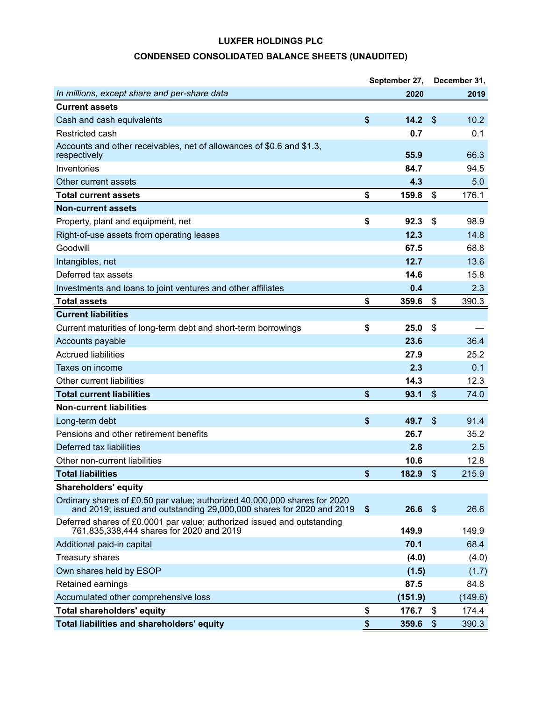# **CONDENSED CONSOLIDATED BALANCE SHEETS (UNAUDITED)**

|                                                                                                                                                   | September 27,    |      | December 31, |
|---------------------------------------------------------------------------------------------------------------------------------------------------|------------------|------|--------------|
| In millions, except share and per-share data                                                                                                      | 2020             |      | 2019         |
| <b>Current assets</b>                                                                                                                             |                  |      |              |
| Cash and cash equivalents                                                                                                                         | \$<br>14.2       | \$   | 10.2         |
| Restricted cash                                                                                                                                   | 0.7              |      | 0.1          |
| Accounts and other receivables, net of allowances of \$0.6 and \$1.3,<br>respectively                                                             | 55.9             |      | 66.3         |
| Inventories                                                                                                                                       | 84.7             |      | 94.5         |
| Other current assets                                                                                                                              | 4.3              |      | 5.0          |
| <b>Total current assets</b>                                                                                                                       | \$<br>159.8      | \$   | 176.1        |
| <b>Non-current assets</b>                                                                                                                         |                  |      |              |
| Property, plant and equipment, net                                                                                                                | \$<br>92.3       | \$   | 98.9         |
| Right-of-use assets from operating leases                                                                                                         | 12.3             |      | 14.8         |
| Goodwill                                                                                                                                          | 67.5             |      | 68.8         |
| Intangibles, net                                                                                                                                  | 12.7             |      | 13.6         |
| Deferred tax assets                                                                                                                               | 14.6             |      | 15.8         |
| Investments and loans to joint ventures and other affiliates                                                                                      | 0.4              |      | 2.3          |
| <b>Total assets</b>                                                                                                                               | \$<br>359.6      | \$   | 390.3        |
| <b>Current liabilities</b>                                                                                                                        |                  |      |              |
| Current maturities of long-term debt and short-term borrowings                                                                                    | \$<br>25.0       | \$   |              |
| Accounts payable                                                                                                                                  | 23.6             |      | 36.4         |
| <b>Accrued liabilities</b>                                                                                                                        | 27.9             |      | 25.2         |
| Taxes on income                                                                                                                                   | 2.3              |      | 0.1          |
| Other current liabilities                                                                                                                         | 14.3             |      | 12.3         |
| <b>Total current liabilities</b>                                                                                                                  | \$<br>93.1       | \$   | 74.0         |
| <b>Non-current liabilities</b>                                                                                                                    |                  |      |              |
| Long-term debt                                                                                                                                    | \$<br>49.7       | \$   | 91.4         |
| Pensions and other retirement benefits                                                                                                            | 26.7             |      | 35.2         |
| Deferred tax liabilities                                                                                                                          | 2.8              |      | 2.5          |
| Other non-current liabilities                                                                                                                     | 10.6             |      | 12.8         |
| <b>Total liabilities</b>                                                                                                                          | \$<br>$182.9$ \$ |      | 215.9        |
| <b>Shareholders' equity</b>                                                                                                                       |                  |      |              |
| Ordinary shares of £0.50 par value; authorized 40,000,000 shares for 2020<br>and 2019; issued and outstanding 29,000,000 shares for 2020 and 2019 | \$<br>26.6       | - \$ | 26.6         |
| Deferred shares of £0.0001 par value; authorized issued and outstanding<br>761,835,338,444 shares for 2020 and 2019                               | 149.9            |      | 149.9        |
| Additional paid-in capital                                                                                                                        | 70.1             |      | 68.4         |
| Treasury shares                                                                                                                                   | (4.0)            |      | (4.0)        |
| Own shares held by ESOP                                                                                                                           | (1.5)            |      | (1.7)        |
| Retained earnings                                                                                                                                 | 87.5             |      | 84.8         |
| Accumulated other comprehensive loss                                                                                                              | (151.9)          |      | (149.6)      |
| <b>Total shareholders' equity</b>                                                                                                                 | \$<br>176.7      | \$   | 174.4        |
| Total liabilities and shareholders' equity                                                                                                        | \$<br>359.6      | \$   | 390.3        |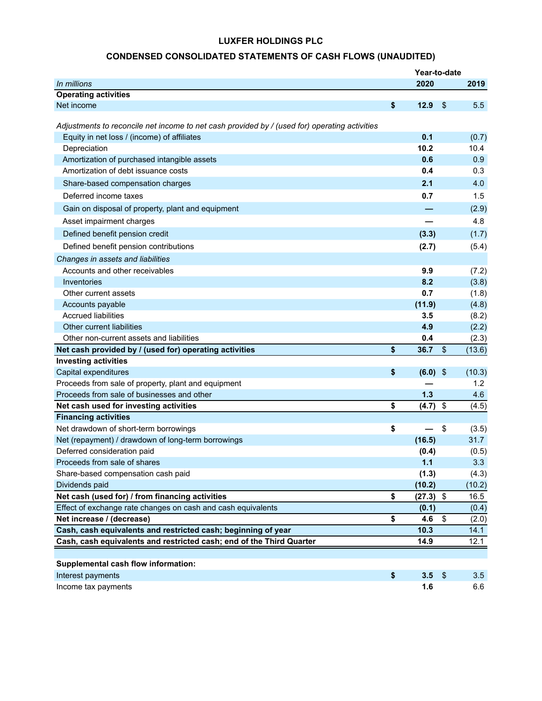# **CONDENSED CONSOLIDATED STATEMENTS OF CASH FLOWS (UNAUDITED)**

|                                                                                               | Year-to-date |                           |        |
|-----------------------------------------------------------------------------------------------|--------------|---------------------------|--------|
| In millions                                                                                   | 2020         |                           | 2019   |
| <b>Operating activities</b>                                                                   |              |                           |        |
| Net income                                                                                    | \$<br>12.9   | $\sqrt[6]{\frac{1}{2}}$   | 5.5    |
|                                                                                               |              |                           |        |
| Adjustments to reconcile net income to net cash provided by / (used for) operating activities |              |                           |        |
| Equity in net loss / (income) of affiliates                                                   | 0.1          |                           | (0.7)  |
| Depreciation                                                                                  | 10.2         |                           | 10.4   |
| Amortization of purchased intangible assets                                                   | 0.6          |                           | 0.9    |
| Amortization of debt issuance costs                                                           | 0.4          |                           | 0.3    |
| Share-based compensation charges                                                              | 2.1          |                           | 4.0    |
| Deferred income taxes                                                                         | 0.7          |                           | 1.5    |
| Gain on disposal of property, plant and equipment                                             |              |                           | (2.9)  |
| Asset impairment charges                                                                      |              |                           | 4.8    |
| Defined benefit pension credit                                                                | (3.3)        |                           | (1.7)  |
| Defined benefit pension contributions                                                         | (2.7)        |                           | (5.4)  |
| Changes in assets and liabilities                                                             |              |                           |        |
| Accounts and other receivables                                                                | 9.9          |                           | (7.2)  |
| Inventories                                                                                   | 8.2          |                           | (3.8)  |
| Other current assets                                                                          | 0.7          |                           | (1.8)  |
| Accounts payable                                                                              | (11.9)       |                           | (4.8)  |
| <b>Accrued liabilities</b>                                                                    | 3.5          |                           | (8.2)  |
| Other current liabilities                                                                     | 4.9          |                           | (2.2)  |
| Other non-current assets and liabilities                                                      | 0.4          |                           | (2.3)  |
| Net cash provided by / (used for) operating activities                                        | \$<br>36.7   | $\sqrt[6]{\frac{1}{2}}$   | (13.6) |
| <b>Investing activities</b>                                                                   |              |                           |        |
| Capital expenditures                                                                          | \$<br>(6.0)  | $\boldsymbol{\mathsf{S}}$ | (10.3) |
| Proceeds from sale of property, plant and equipment                                           |              |                           | 1.2    |
| Proceeds from sale of businesses and other                                                    | 1.3          |                           | 4.6    |
| Net cash used for investing activities                                                        | \$<br>(4.7)  | \$                        | (4.5)  |
| <b>Financing activities</b>                                                                   |              |                           |        |
| Net drawdown of short-term borrowings                                                         | \$           | \$                        | (3.5)  |
| Net (repayment) / drawdown of long-term borrowings                                            | (16.5)       |                           | 31.7   |
| Deferred consideration paid                                                                   | (0.4)        |                           | (0.5)  |
| Proceeds from sale of shares                                                                  | 1.1          |                           | 3.3    |
| Share-based compensation cash paid                                                            | (1.3)        |                           | (4.3)  |
| Dividends paid                                                                                | (10.2)       |                           | (10.2) |
| Net cash (used for) / from financing activities                                               | \$<br>(27.3) | \$                        | 16.5   |
| Effect of exchange rate changes on cash and cash equivalents                                  | (0.1)        |                           | (0.4)  |
| Net increase / (decrease)                                                                     | \$<br>4.6    | \$                        | (2.0)  |
| Cash, cash equivalents and restricted cash; beginning of year                                 | 10.3         |                           | 14.1   |
| Cash, cash equivalents and restricted cash; end of the Third Quarter                          | 14.9         |                           | 12.1   |
|                                                                                               |              |                           |        |
| Supplemental cash flow information:                                                           |              |                           |        |
| Interest payments                                                                             | \$<br>3.5    | $\frac{1}{2}$             | 3.5    |
| Income tax payments                                                                           | 1.6          |                           | 6.6    |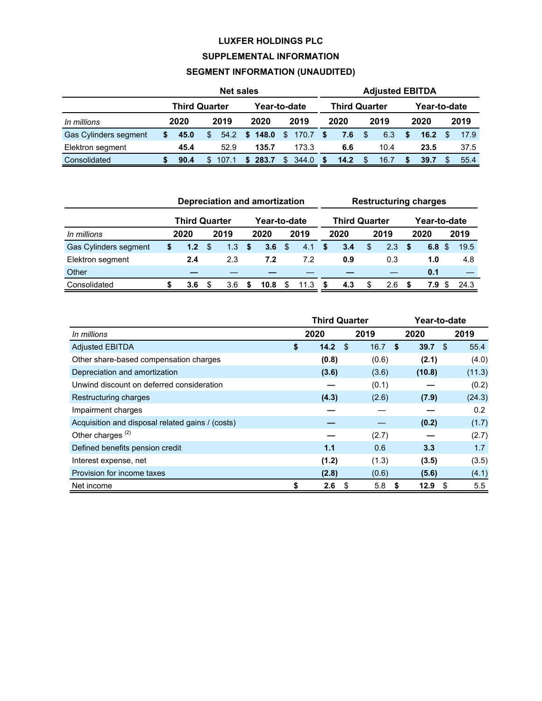# **SUPPLEMENTAL INFORMATION**

# **SEGMENT INFORMATION (UNAUDITED)**

|                       | <b>Net sales</b>                     |      |     |       |                      |              |      | <b>Adjusted EBITDA</b> |      |      |     |      |              |      |  |      |  |
|-----------------------|--------------------------------------|------|-----|-------|----------------------|--------------|------|------------------------|------|------|-----|------|--------------|------|--|------|--|
|                       | <b>Third Quarter</b><br>Year-to-date |      |     |       | <b>Third Quarter</b> | Year-to-date |      |                        |      |      |     |      |              |      |  |      |  |
| In millions           |                                      | 2020 |     | 2019  |                      | 2020         |      | 2019                   |      | 2020 |     | 2019 |              | 2020 |  | 2019 |  |
| Gas Cylinders segment | \$                                   | 45.0 | \$. | 54.2  |                      | \$148.0      | - \$ | 170.7                  | - \$ | 7.6  | \$  | 6.3  | $\mathbf{s}$ | 16.2 |  | 17.9 |  |
| Elektron segment      |                                      | 45.4 |     | 52.9  |                      | 135.7        |      | 173.3                  |      | 6.6  |     | 10.4 |              | 23.5 |  | 37.5 |  |
| Consolidated          |                                      | 90.4 | \$. | 107.1 | <sup>\$</sup>        | 283.7        | \$   | 344.0                  | -S   | 14.2 | \$. | 16.7 |              | 39.7 |  | 55.4 |  |

|                       | <b>Depreciation and amortization</b> |                      |     |               |              |      |     | <b>Restructuring charges</b> |   |                      |    |      |              |      |     |      |
|-----------------------|--------------------------------------|----------------------|-----|---------------|--------------|------|-----|------------------------------|---|----------------------|----|------|--------------|------|-----|------|
|                       |                                      | <b>Third Quarter</b> |     |               | Year-to-date |      |     |                              |   | <b>Third Quarter</b> |    |      | Year-to-date |      |     |      |
| In millions           |                                      | 2020                 |     | 2019          |              | 2020 |     | 2019                         |   | 2020                 |    | 2019 |              | 2020 |     | 2019 |
| Gas Cylinders segment | S                                    | 1.2 <sub>2</sub>     | \$. | $1.3^{\circ}$ | S            | 3.6  | \$. | 4.1                          | S | 3.4                  | \$ | 2.3  | - \$         | 6.8  | -SS | 19.5 |
| Elektron segment      |                                      | 2.4                  |     | 2.3           |              | 7.2  |     | 7.2                          |   | 0.9                  |    | 0.3  |              | 1.0  |     | 4.8  |
| Other                 |                                      |                      |     |               |              |      |     |                              |   |                      |    |      |              | 0.1  |     |      |
| Consolidated          |                                      | 3.6                  | S   | 3.6           | S            | 10.8 | \$  | 11.3                         |   | 4.3                  |    | 2.6  | -S           | 7.9  |     | 24.3 |

|                                                  |      | <b>Third Quarter</b> |      |       |      | Year-to-date |      |        |  |
|--------------------------------------------------|------|----------------------|------|-------|------|--------------|------|--------|--|
| In millions                                      | 2020 |                      |      | 2019  |      | 2020         | 2019 |        |  |
| <b>Adjusted EBITDA</b>                           | \$   | 14.2                 | - \$ | 16.7  | \$   | 39.7         | -\$  | 55.4   |  |
| Other share-based compensation charges           |      | (0.8)                |      | (0.6) |      | (2.1)        |      | (4.0)  |  |
| Depreciation and amortization                    |      | (3.6)                |      | (3.6) |      | (10.8)       |      | (11.3) |  |
| Unwind discount on deferred consideration        |      |                      |      | (0.1) |      |              |      | (0.2)  |  |
| Restructuring charges                            |      | (4.3)                |      | (2.6) |      | (7.9)        |      | (24.3) |  |
| Impairment charges                               |      |                      |      |       |      |              |      | 0.2    |  |
| Acquisition and disposal related gains / (costs) |      |                      |      |       |      | (0.2)        |      | (1.7)  |  |
| Other charges <sup>(2)</sup>                     |      |                      |      | (2.7) |      |              |      | (2.7)  |  |
| Defined benefits pension credit                  |      | 1.1                  |      | 0.6   |      | 3.3          |      | 1.7    |  |
| Interest expense, net                            |      | (1.2)                |      | (1.3) |      | (3.5)        |      | (3.5)  |  |
| Provision for income taxes                       |      | (2.8)                |      | (0.6) |      | (5.6)        |      | (4.1)  |  |
| Net income                                       | \$   | 2.6                  | S    | 5.8   | - \$ | 12.9         | \$   | 5.5    |  |